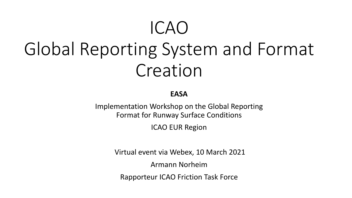# ICAO

# Global Reporting System and Format Creation

**EASA**

Implementation Workshop on the Global Reporting Format for Runway Surface Conditions

ICAO EUR Region

Virtual event via Webex, 10 March 2021

Armann Norheim

Rapporteur ICAO Friction Task Force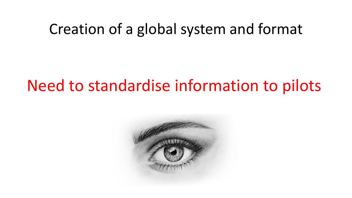### Creation of a global system and format

## Need to standardise information to pilots

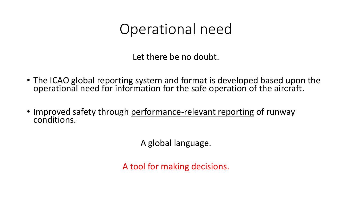### Operational need

Let there be no doubt.

- The ICAO global reporting system and format is developed based upon the operational need for information for the safe operation of the aircraft.
- Improved safety through performance-relevant reporting of runway conditions.

A global language.

A tool for making decisions.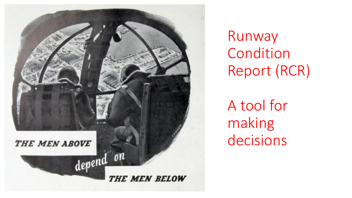

Runway Condition Report (RCR)

A tool for making decisions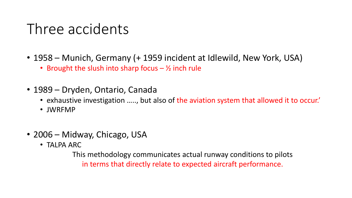## Three accidents

- 1958 Munich, Germany (+ 1959 incident at Idlewild, New York, USA)
	- Brought the slush into sharp focus  $-$  1/2 inch rule
- 1989 Dryden, Ontario, Canada
	- exhaustive investigation ....., but also of the aviation system that allowed it to occur.'
	- JWRFMP
- 2006 Midway, Chicago, USA
	- TALPA ARC

This methodology communicates actual runway conditions to pilots in terms that directly relate to expected aircraft performance.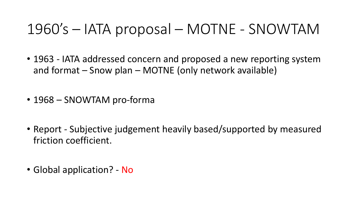#### 1960's – IATA proposal – MOTNE - SNOWTAM

- 1963 IATA addressed concern and proposed a new reporting system and format – Snow plan – MOTNE (only network available)
- 1968 SNOWTAM pro-forma
- Report Subjective judgement heavily based/supported by measured friction coefficient.
- Global application? No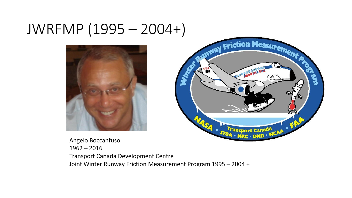### JWRFMP (1995 – 2004+)





Angelo Boccanfuso 1962 – 2016 Transport Canada Development Centre Joint Winter Runway Friction Measurement Program 1995 – 2004 +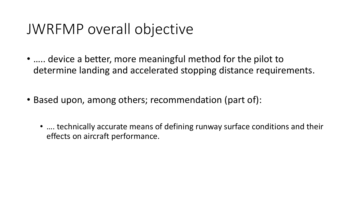### JWRFMP overall objective

- ….. device a better, more meaningful method for the pilot to determine landing and accelerated stopping distance requirements.
- Based upon, among others; recommendation (part of):
	- …. technically accurate means of defining runway surface conditions and their effects on aircraft performance.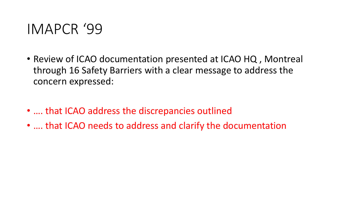#### IMAPCR '99

- Review of ICAO documentation presented at ICAO HQ , Montreal through 16 Safety Barriers with a clear message to address the concern expressed:
- …. that ICAO address the discrepancies outlined
- …. that ICAO needs to address and clarify the documentation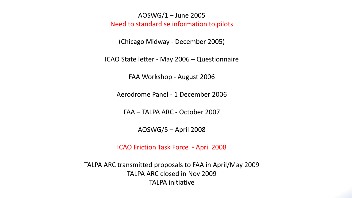#### AOSWG/1 – June 2005 Need to standardise information to pilots

(Chicago Midway - December 2005)

ICAO State letter - May 2006 – Questionnaire

FAA Workshop - August 2006

Aerodrome Panel - 1 December 2006

FAA – TALPA ARC - October 2007

AOSWG/5 – April 2008

ICAO Friction Task Force - April 2008

TALPA ARC transmitted proposals to FAA in April/May 2009 TALPA ARC closed in Nov 2009 TALPA initiative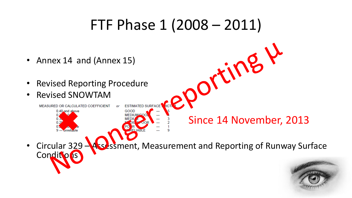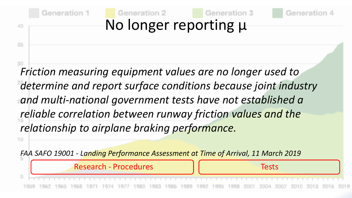![](_page_11_Figure_0.jpeg)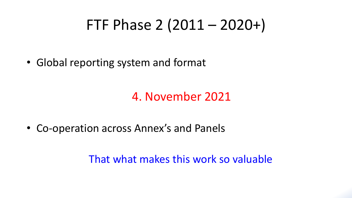## FTF Phase 2 (2011 – 2020+)

• Global reporting system and format

#### 4. November 2021

• Co-operation across Annex's and Panels

That what makes this work so valuable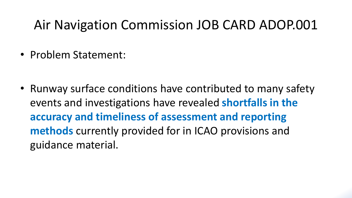#### Air Navigation Commission JOB CARD ADOP.001

• Problem Statement:

• Runway surface conditions have contributed to many safety events and investigations have revealed **shortfalls in the accuracy and timeliness of assessment and reporting methods** currently provided for in ICAO provisions and guidance material.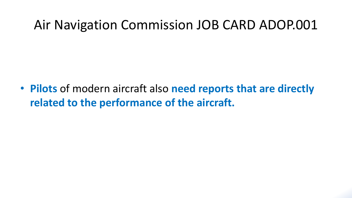#### Air Navigation Commission JOB CARD ADOP.001

• **Pilots** of modern aircraft also **need reports that are directly related to the performance of the aircraft.**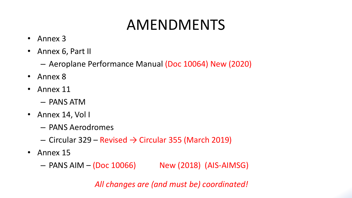## AMENDMENTS

- Annex 3
- Annex 6, Part II

– Aeroplane Performance Manual (Doc 10064) New (2020)

- Annex 8
- Annex 11
	- PANS ATM
- Annex 14, Vol I
	- PANS Aerodromes
	- Circular 329 Revised  $\rightarrow$  Circular 355 (March 2019)
- Annex 15
	- PANS AIM (Doc 10066) New (2018) (AIS-AIMSG)

*All changes are (and must be) coordinated!*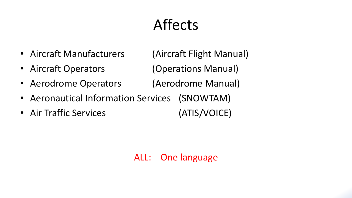## Affects

- Aircraft Manufacturers (Aircraft Flight Manual)
- Aircraft Operators (Operations Manual)
- Aerodrome Operators (Aerodrome Manual)
- Aeronautical Information Services (SNOWTAM)
- Air Traffic Services (ATIS/VOICE)

#### ALL: One language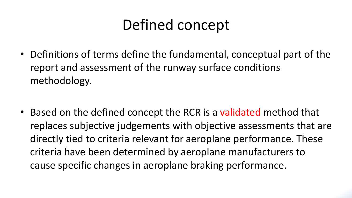## Defined concept

• Definitions of terms define the fundamental, conceptual part of the report and assessment of the runway surface conditions methodology.

• Based on the defined concept the RCR is a validated method that replaces subjective judgements with objective assessments that are directly tied to criteria relevant for aeroplane performance. These criteria have been determined by aeroplane manufacturers to cause specific changes in aeroplane braking performance.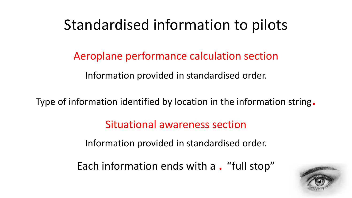## Standardised information to pilots

#### Aeroplane performance calculation section

Information provided in standardised order.

Type of information identified by location in the information string.

Situational awareness section

Information provided in standardised order.

Each information ends with <sup>a</sup> . "full stop"

![](_page_18_Picture_7.jpeg)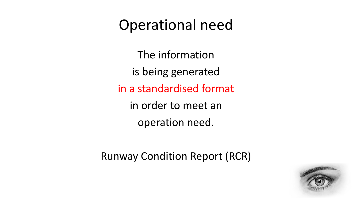### Operational need

The information is being generated in a standardised format in order to meet an operation need.

Runway Condition Report (RCR)

![](_page_19_Picture_3.jpeg)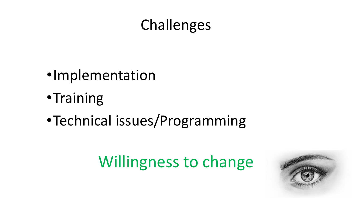## **Challenges**

- •Implementation
- •Training
- •Technical issues/Programming

# Willingness to change

![](_page_20_Picture_5.jpeg)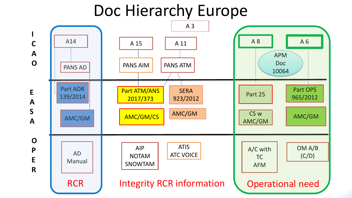## Doc Hierarchy Europe

![](_page_21_Figure_1.jpeg)